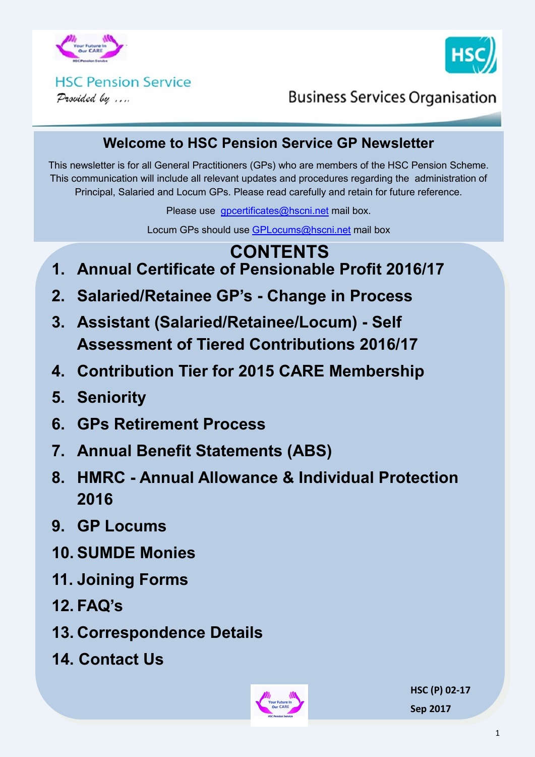



#### **HSC Pension Service** Provided by ....

**Business Services Organisation** 

#### **Welcome to HSC Pension Service GP Newsletter**

This newsletter is for all General Practitioners (GPs) who are members of the HSC Pension Scheme. This communication will include all relevant updates and procedures regarding the administration of Principal, Salaried and Locum GPs. Please read carefully and retain for future reference.

Please use [gpcertificates@hscni.net](mailto:gpcertificates@hscni.net) mail box.

Locum GPs should use [GPLocums@hscni.net](mailto:GPLocums@hscni.net) mail box

#### **1. Annual Certificate of Pensionable Profit 2016/17 CONTENTS**

- **2. Salaried/Retainee GP's - Change in Process**
- **3. Assistant (Salaried/Retainee/Locum) - Self Assessment of Tiered Contributions 2016/17**
- **4. Contribution Tier for 2015 CARE Membership**
- **5. Seniority**
- **6. GPs Retirement Process**
- **7. Annual Benefit Statements (ABS)**
- **8. HMRC - Annual Allowance & Individual Protection 2016**
- **9. GP Locums**
- **10. SUMDE Monies**
- **11. Joining Forms**
- **12. FAQ's**
- **13. Correspondence Details**
- **14. Contact Us**



**HSC (P) 02-17 Sep 2017**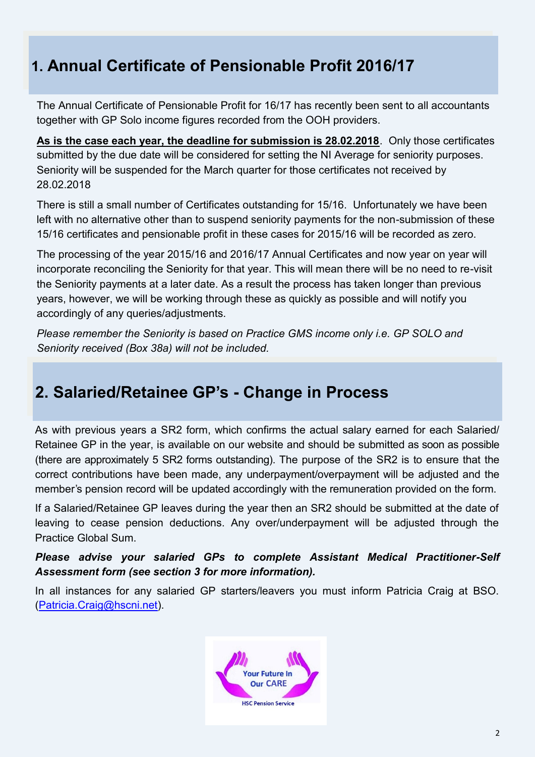## **1. Annual Certificate of Pensionable Profit 2016/17**

The Annual Certificate of Pensionable Profit for 16/17 has recently been sent to all accountants together with GP Solo income figures recorded from the OOH providers.

**As is the case each year, the deadline for submission is 28.02.2018**. Only those certificates submitted by the due date will be considered for setting the NI Average for seniority purposes. Seniority will be suspended for the March quarter for those certificates not received by 28.02.2018

There is still a small number of Certificates outstanding for 15/16. Unfortunately we have been left with no alternative other than to suspend seniority payments for the non-submission of these 15/16 certificates and pensionable profit in these cases for 2015/16 will be recorded as zero.

The processing of the year 2015/16 and 2016/17 Annual Certificates and now year on year will incorporate reconciling the Seniority for that year. This will mean there will be no need to re-visit the Seniority payments at a later date. As a result the process has taken longer than previous years, however, we will be working through these as quickly as possible and will notify you accordingly of any queries/adjustments.

*Please remember the Seniority is based on Practice GMS income only i.e. GP SOLO and Seniority received (Box 38a) will not be included.* 

#### **2. Salaried/Retainee GP's - Change in Process**

As with previous years a SR2 form, which confirms the actual salary earned for each Salaried/ Retainee GP in the year, is available on our website and should be submitted as soon as possible (there are approximately 5 SR2 forms outstanding). The purpose of the SR2 is to ensure that the correct contributions have been made, any underpayment/overpayment will be adjusted and the member's pension record will be updated accordingly with the remuneration provided on the form.

If a Salaried/Retainee GP leaves during the year then an SR2 should be submitted at the date of leaving to cease pension deductions. Any over/underpayment will be adjusted through the Practice Global Sum.

*Please advise your salaried GPs to complete Assistant Medical Practitioner-Self Assessment form (see section 3 for more information).* 

In all instances for any salaried GP starters/leavers you must inform Patricia Craig at BSO. [\(Patricia.Craig@hscni.net\)](mailto:Patricia.Craig@hscni.net).

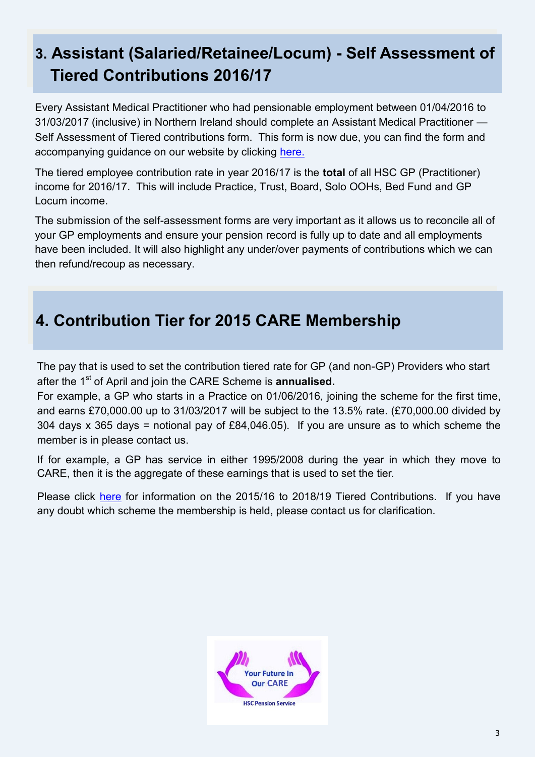## **3. Assistant (Salaried/Retainee/Locum) - Self Assessment of Tiered Contributions 2016/17**

Every Assistant Medical Practitioner who had pensionable employment between 01/04/2016 to 31/03/2017 (inclusive) in Northern Ireland should complete an Assistant Medical Practitioner — Self Assessment of Tiered contributions form. This form is now due, you can find the form and accompanying guidance on our website by clicking [here.](http://www.hscpensions.hscni.net/download/Practitioners/2016-17-SELF-ASSESSMENT-4-11.xls)

The tiered employee contribution rate in year 2016/17 is the **total** of all HSC GP (Practitioner) income for 2016/17. This will include Practice, Trust, Board, Solo OOHs, Bed Fund and GP Locum income.

The submission of the self-assessment forms are very important as it allows us to reconcile all of your GP employments and ensure your pension record is fully up to date and all employments have been included. It will also highlight any under/over payments of contributions which we can then refund/recoup as necessary.

### **4. Contribution Tier for 2015 CARE Membership**

The pay that is used to set the contribution tiered rate for GP (and non-GP) Providers who start after the 1<sup>st</sup> of April and join the CARE Scheme is **annualised.** 

For example, a GP who starts in a Practice on 01/06/2016, joining the scheme for the first time, and earns £70,000.00 up to 31/03/2017 will be subject to the 13.5% rate. (£70,000.00 divided by 304 days x 365 days = notional pay of £84,046.05). If you are unsure as to which scheme the member is in please contact us.

If for example, a GP has service in either 1995/2008 during the year in which they move to CARE, then it is the aggregate of these earnings that is used to set the tier.

Please click [here](http://www.hscpensions.hscni.net/download/Members/member_factsheets/Tiered-Contributions-for-Scheme-Years-2015-2016-through-to-2018-2019.pdf) for information on the 2015/16 to 2018/19 Tiered Contributions. If you have any doubt which scheme the membership is held, please contact us for clarification.

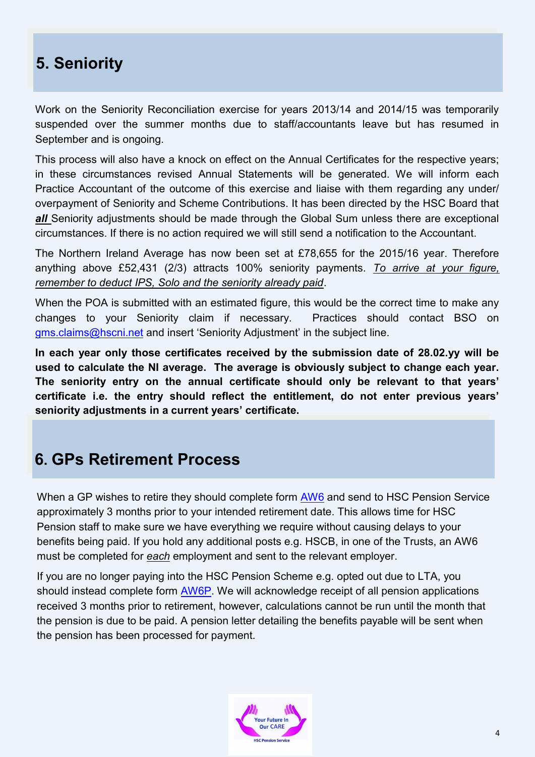## **5. Seniority**

Work on the Seniority Reconciliation exercise for years 2013/14 and 2014/15 was temporarily suspended over the summer months due to staff/accountants leave but has resumed in September and is ongoing.

This process will also have a knock on effect on the Annual Certificates for the respective years; in these circumstances revised Annual Statements will be generated. We will inform each Practice Accountant of the outcome of this exercise and liaise with them regarding any under/ overpayment of Seniority and Scheme Contributions. It has been directed by the HSC Board that *all* Seniority adjustments should be made through the Global Sum unless there are exceptional circumstances. If there is no action required we will still send a notification to the Accountant.

The Northern Ireland Average has now been set at £78,655 for the 2015/16 year. Therefore anything above £52,431 (2/3) attracts 100% seniority payments. *To arrive at your figure, remember to deduct IPS, Solo and the seniority already paid*.

When the POA is submitted with an estimated figure, this would be the correct time to make any changes to your Seniority claim if necessary. Practices should contact BSO on gms.claims@hscni.net and insert 'Seniority Adjustment' in the subject line.

**In each year only those certificates received by the submission date of 28.02.yy will be used to calculate the NI average. The average is obviously subject to change each year. The seniority entry on the annual certificate should only be relevant to that years' certificate i.e. the entry should reflect the entitlement, do not enter previous years' seniority adjustments in a current years' certificate.** 

### **6. GPs Retirement Process**

When a GP wishes to retire they should complete form [AW6](http://www.hscpensions.hscni.net/download/Scheme%20Forms/AW6-V1-4.pdf) and send to HSC Pension Service approximately 3 months prior to your intended retirement date. This allows time for HSC Pension staff to make sure we have everything we require without causing delays to your benefits being paid. If you hold any additional posts e.g. HSCB, in one of the Trusts, an AW6 must be completed for *each* employment and sent to the relevant employer.

If you are no longer paying into the HSC Pension Scheme e.g. opted out due to LTA, you should instead complete form **AW6P**. We will acknowledge receipt of all pension applications received 3 months prior to retirement, however, calculations cannot be run until the month that the pension is due to be paid. A pension letter detailing the benefits payable will be sent when the pension has been processed for payment.

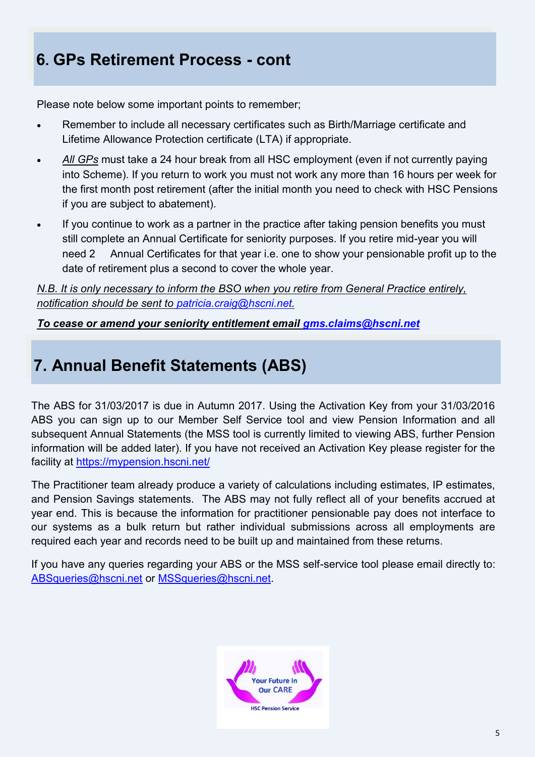## **6. GPs Retirement Process - cont**

Please note below some important points to remember;

- Remember to include all necessary certificates such as Birth/Marriage certificate and Lifetime Allowance Protection certificate (LTA) if appropriate.
- *All GPs* must take a 24 hour break from all HSC employment (even if not currently paying into Scheme). If you return to work you must not work any more than 16 hours per week for the first month post retirement (after the initial month you need to check with HSC Pensions if you are subject to abatement).
- If you continue to work as a partner in the practice after taking pension benefits you must still complete an Annual Certificate for seniority purposes. If you retire mid-year you will need 2 Annual Certificates for that year i.e. one to show your pensionable profit up to the date of retirement plus a second to cover the whole year.

*N.B. It is only necessary to inform the BSO when you retire from General Practice entirely, notification should be sent to [patricia.craig@hscni.net.](mailto:patricia.craig@hscni.net)*

*To cease or amend your seniority entitlement email [gms.claims@hscni.net](mailto:gms.claims@hscni.net)*

## **7. Annual Benefit Statements (ABS)**

The ABS for 31/03/2017 is due in Autumn 2017. Using the Activation Key from your 31/03/2016 ABS you can sign up to our Member Self Service tool and view Pension Information and all subsequent Annual Statements (the MSS tool is currently limited to viewing ABS, further Pension information will be added later). If you have not received an Activation Key please register for the facility at <https://mypension.hscni.net/>

The Practitioner team already produce a variety of calculations including estimates, IP estimates, and Pension Savings statements. The ABS may not fully reflect all of your benefits accrued at year end. This is because the information for practitioner pensionable pay does not interface to our systems as a bulk return but rather individual submissions across all employments are required each year and records need to be built up and maintained from these returns.

If you have any queries regarding your ABS or the MSS self-service tool please email directly to: [ABSqueries@hscni.net](mailto:ABSqueries@hscni.net) or [MSSqueries@hscni.net.](mailto:MSSqueries@hscni.net) 

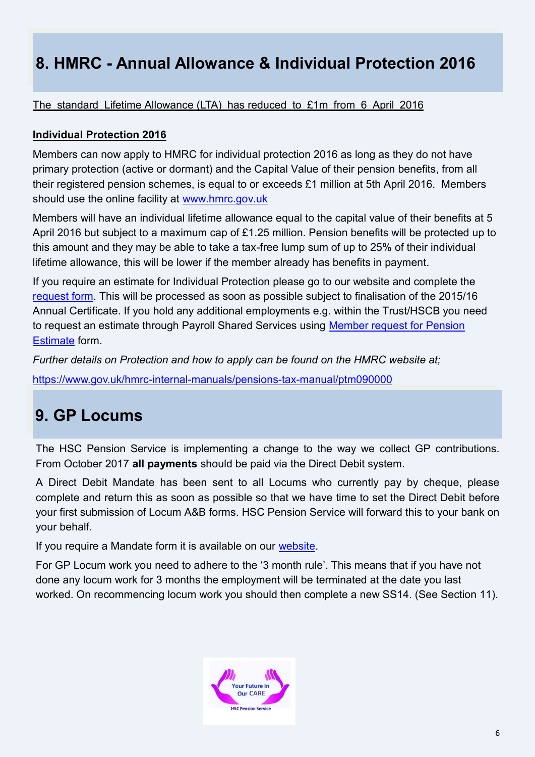# **8. HMRC - Annual Allowance & Individual Protection 2016**

#### The standard Lifetime Allowance (LTA) has reduced to £1m from 6 April 2016

#### **Individual Protection 2016**

Members can now apply to HMRC for individual protection 2016 as long as they do not have primary protection (active or dormant) and the Capital Value of their pension benefits, from all their registered pension schemes, is equal to or exceeds £1 million at 5th April 2016. Members should use the online facility at [www.hmrc.gov.uk](http://www.hmrc.gov.uk)

Members will have an individual lifetime allowance equal to the capital value of their benefits at 5 April 2016 but subject to a maximum cap of £1.25 million. Pension benefits will be protected up to this amount and they may be able to take a tax-free lump sum of up to 25% of their individual lifetime allowance, this will be lower if the member already has benefits in payment.

If you require an estimate for Individual Protection please go to our website and complete the [request form.](http://www.hscpensions.hscni.net/download/Scheme%20Forms/Officer_-_IP2016-V1.pdf) This will be processed as soon as possible subject to finalisation of the 2015/16 Annual Certificate. If you hold any additional employments e.g. within the Trust/HSCB you need to request an estimate through Payroll Shared Services using [Member request for Pension](http://www.hscpensions.hscni.net/request-an-estimate/)  [Estimate](http://www.hscpensions.hscni.net/request-an-estimate/) form.

*Further details on Protection and how to apply can be found on the HMRC website at;*

[https://www.gov.uk/hmrc](https://www.gov.uk/hmrc-internal-manuals/pensions-tax-manual/ptm090000)-internal-manuals/pensions-tax-manual/ptm090000

### **9. GP Locums**

The HSC Pension Service is implementing a change to the way we collect GP contributions. From October 2017 **all payments** should be paid via the Direct Debit system.

A Direct Debit Mandate has been sent to all Locums who currently pay by cheque, please complete and return this as soon as possible so that we have time to set the Direct Debit before your first submission of Locum A&B forms. HSC Pension Service will forward this to your bank on your behalf.

If you require a Mandate form it is available on our [website.](http://www.hscpensions.hscni.net/practitioners/locum/)

For GP Locum work you need to adhere to the '3 month rule'. This means that if you have not done any locum work for 3 months the employment will be terminated at the date you last worked. On recommencing locum work you should then complete a new SS14. (See Section 11).

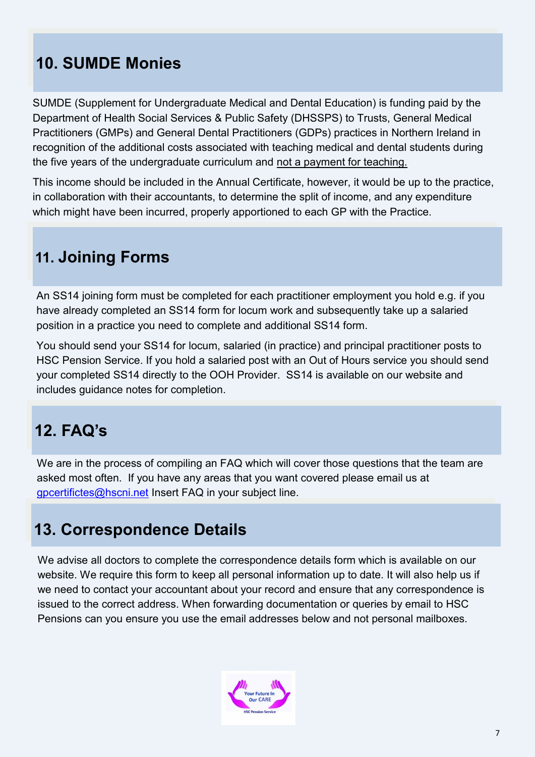## **10. SUMDE Monies**

SUMDE (Supplement for Undergraduate Medical and Dental Education) is funding paid by the Department of Health Social Services & Public Safety (DHSSPS) to Trusts, General Medical Practitioners (GMPs) and General Dental Practitioners (GDPs) practices in Northern Ireland in recognition of the additional costs associated with teaching medical and dental students during the five years of the undergraduate curriculum and not a payment for teaching.

This income should be included in the Annual Certificate, however, it would be up to the practice, in collaboration with their accountants, to determine the split of income, and any expenditure which might have been incurred, properly apportioned to each GP with the Practice.

## **11. Joining Forms**

An SS14 joining form must be completed for each practitioner employment you hold e.g. if you have already completed an SS14 form for locum work and subsequently take up a salaried position in a practice you need to complete and additional SS14 form.

You should send your SS14 for locum, salaried (in practice) and principal practitioner posts to HSC Pension Service. If you hold a salaried post with an Out of Hours service you should send your completed SS14 directly to the OOH Provider. SS14 is available on our website and includes guidance notes for completion.

# **12. FAQ's**

We are in the process of compiling an FAQ which will cover those questions that the team are asked most often. If you have any areas that you want covered please email us at [gpcertifictes@hscni.net](mailto:gpcertifictes@hscni.net) Insert FAQ in your subject line.

### **13. Correspondence Details**

We advise all doctors to complete the correspondence details form which is available on our website. We require this form to keep all personal information up to date. It will also help us if we need to contact your accountant about your record and ensure that any correspondence is issued to the correct address. When forwarding documentation or queries by email to HSC Pensions can you ensure you use the email addresses below and not personal mailboxes.